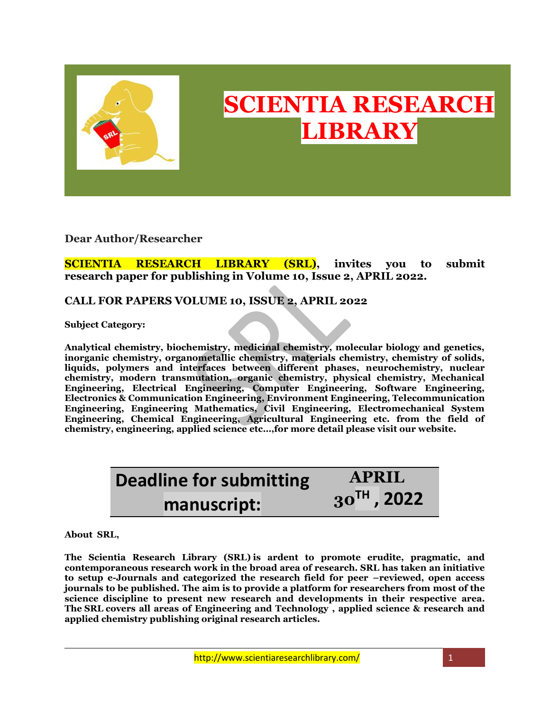

## **SCIENTIA RESEARCH LIBRARY**

**Dear Author/Researcher**

**SCIENTIA RESEARCH LIBRARY (SRL), invites you to submit research paper for publishing in Volume 10, Issue 2, APRIL 2022.**

## **CALL FOR PAPERS VOLUME 10, ISSUE 2, APRIL 2022**

**Subject Category:**

**Analytical chemistry, biochemistry, medicinal chemistry, molecular biology and genetics, inorganic chemistry, organometallic chemistry, materials chemistry, chemistry of solids, liquids, polymers and interfaces between different phases, neurochemistry, nuclear chemistry, modern transmutation, organic chemistry, physical chemistry, Mechanical Engineering, Electrical Engineering, Computer Engineering, Software Engineering, Electronics & Communication Engineering, Environment Engineering, Telecommunication Engineering, Engineering Mathematics, Civil Engineering, Electromechanical System Engineering, Chemical Engineering, Agricultural Engineering etc. from the field of chemistry, engineering, applied science etc…,for more detail please visit our website.**

| <b>Deadline for submitting</b> | <b>APRIL</b>     |
|--------------------------------|------------------|
| manuscript:                    | $30^{TH}$ , 2022 |

**About SRL,**

**The Scientia Research Library (SRL) is ardent to promote erudite, pragmatic, and contemporaneous research work in the broad area of research. SRL has taken an initiative to setup e-Journals and categorized the research field for peer –reviewed, open access journals to be published. The aim is to provide a platform for researchers from most of the science discipline to present new research and developments in their respective area. The SRL covers all areas of Engineering and Technology , applied science & research and applied chemistry publishing original research articles.**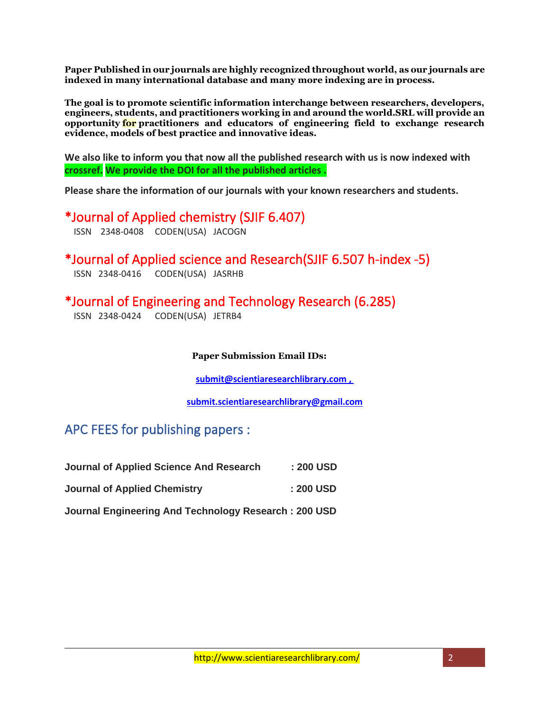**Paper Published in our journals are highly recognized throughout world, as our journals are indexed in many international database and many more indexing are in process.**

**The goal is to promote scientific information interchange between researchers, developers, engineers, students, and practitioners working in and around the world.SRL will provide an opportunity for practitioners and educators of engineering field to exchange research evidence, models of best practice and innovative ideas.**

**We also like to inform you that now all the published research with us is now indexed with crossref. We provide the DOI for all the published articles .**

**Please share the information of our journals with your known researchers and students.**

\*Journal of Applied chemistry (SJIF 6.407)

ISSN 2348-0408 CODEN(USA) JACOGN

\*Journal of Applied science and Research(SJIF 6.507 h-index -5) ISSN 2348-0416 CODEN(USA) JASRHB

\*Journal of Engineering and Technology Research (6.285)

ISSN 2348-0424 CODEN(USA) JETRB4

**Paper Submission Email IDs:**

**[submit@scientiaresearchlibrary.com](mailto:submit@scientiaresearchlibrary.com) ,**

**[submit.scientiaresearchlibrary@gmail.com](mailto:submit.scientiaresearchlibrary@gmail.com)**

## APC FEES for publishing papers :

| <b>Journal of Applied Science And Research</b>       | : 200 USD |
|------------------------------------------------------|-----------|
| <b>Journal of Applied Chemistry</b>                  | : 200 USD |
| Journal Engineering And Technology Research: 200 USD |           |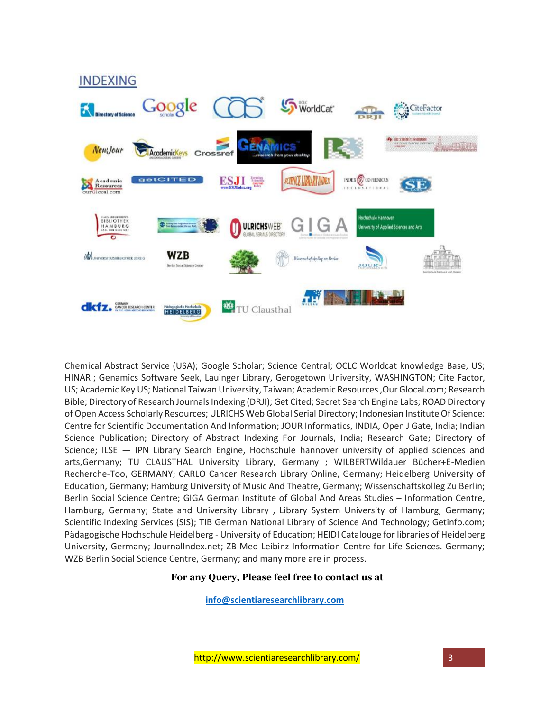

Chemical Abstract Service (USA); Google Scholar; Science Central; OCLC Worldcat knowledge Base, US; HINARI; Genamics Software Seek, Lauinger Library, Gerogetown University, WASHINGTON; Cite Factor, US; Academic Key US; National Taiwan University, Taiwan; Academic Resources ,Our Glocal.com; Research Bible; Directory of Research Journals Indexing (DRJI); Get Cited; Secret Search Engine Labs; ROAD Directory of Open Access Scholarly Resources; ULRICHS Web Global Serial Directory; Indonesian Institute Of Science: Centre for Scientific Documentation And Information; JOUR Informatics, INDIA, Open J Gate, India; Indian Science Publication; Directory of Abstract Indexing For Journals, India; Research Gate; Directory of Science; ILSE — IPN Library Search Engine, Hochschule hannover university of applied sciences and arts,Germany; TU CLAUSTHAL University Library, Germany ; WILBERTWildauer Bücher+E-Medien Recherche-Too, GERMANY; CARLO Cancer Research Library Online, Germany; Heidelberg University of Education, Germany; Hamburg University of Music And Theatre, Germany; Wissenschaftskolleg Zu Berlin; Berlin Social Science Centre; GIGA German Institute of Global And Areas Studies – Information Centre, Hamburg, Germany; State and University Library , Library System University of Hamburg, Germany; Scientific Indexing Services (SIS); TIB German National Library of Science And Technology; Getinfo.com; Pädagogische Hochschule Heidelberg - University of Education; HEIDI Catalouge for libraries of Heidelberg University, Germany; JournalIndex.net; ZB Med Leibinz Information Centre for Life Sciences. Germany; WZB Berlin Social Science Centre, Germany; and many more are in process.

## **For any Query, Please feel free to contact us at**

**info@scientiaresearchlibrary.com**